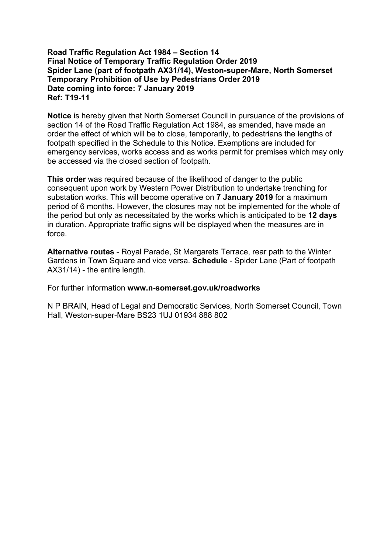## **Road Traffic Regulation Act 1984 – Section 14 Final Notice of Temporary Traffic Regulation Order 2019 Spider Lane (part of footpath AX31/14), Weston-super-Mare, North Somerset Temporary Prohibition of Use by Pedestrians Order 2019 Date coming into force: 7 January 2019 Ref: T19-11**

**Notice** is hereby given that North Somerset Council in pursuance of the provisions of section 14 of the Road Traffic Regulation Act 1984, as amended, have made an order the effect of which will be to close, temporarily, to pedestrians the lengths of footpath specified in the Schedule to this Notice. Exemptions are included for emergency services, works access and as works permit for premises which may only be accessed via the closed section of footpath.

**This order** was required because of the likelihood of danger to the public consequent upon work by Western Power Distribution to undertake trenching for substation works. This will become operative on **7 January 2019** for a maximum period of 6 months. However, the closures may not be implemented for the whole of the period but only as necessitated by the works which is anticipated to be **12 days** in duration. Appropriate traffic signs will be displayed when the measures are in force.

**Alternative routes** - Royal Parade, St Margarets Terrace, rear path to the Winter Gardens in Town Square and vice versa. **Schedule** - Spider Lane (Part of footpath AX31/14) - the entire length.

For further information **www.n-somerset.gov.uk/roadworks**

N P BRAIN, Head of Legal and Democratic Services, North Somerset Council, Town Hall, Weston-super-Mare BS23 1UJ 01934 888 802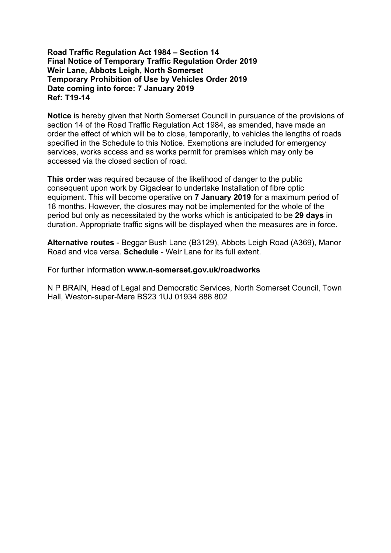## **Road Traffic Regulation Act 1984 – Section 14 Final Notice of Temporary Traffic Regulation Order 2019 Weir Lane, Abbots Leigh, North Somerset Temporary Prohibition of Use by Vehicles Order 2019 Date coming into force: 7 January 2019 Ref: T19-14**

**Notice** is hereby given that North Somerset Council in pursuance of the provisions of section 14 of the Road Traffic Regulation Act 1984, as amended, have made an order the effect of which will be to close, temporarily, to vehicles the lengths of roads specified in the Schedule to this Notice. Exemptions are included for emergency services, works access and as works permit for premises which may only be accessed via the closed section of road.

**This order** was required because of the likelihood of danger to the public consequent upon work by Gigaclear to undertake Installation of fibre optic equipment. This will become operative on **7 January 2019** for a maximum period of 18 months. However, the closures may not be implemented for the whole of the period but only as necessitated by the works which is anticipated to be **29 days** in duration. Appropriate traffic signs will be displayed when the measures are in force.

**Alternative routes** - Beggar Bush Lane (B3129), Abbots Leigh Road (A369), Manor Road and vice versa. **Schedule** - Weir Lane for its full extent.

For further information **www.n-somerset.gov.uk/roadworks**

N P BRAIN, Head of Legal and Democratic Services, North Somerset Council, Town Hall, Weston-super-Mare BS23 1UJ 01934 888 802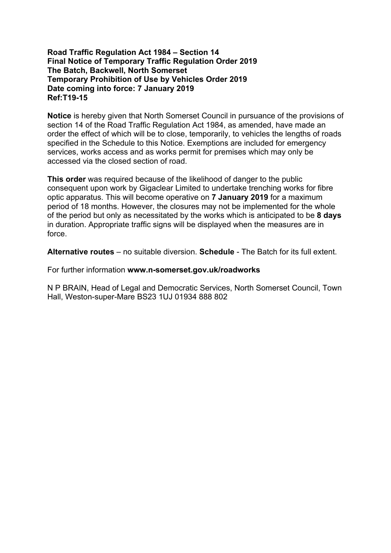## **Road Traffic Regulation Act 1984 – Section 14 Final Notice of Temporary Traffic Regulation Order 2019 The Batch, Backwell, North Somerset Temporary Prohibition of Use by Vehicles Order 2019 Date coming into force: 7 January 2019 Ref:T19-15**

**Notice** is hereby given that North Somerset Council in pursuance of the provisions of section 14 of the Road Traffic Regulation Act 1984, as amended, have made an order the effect of which will be to close, temporarily, to vehicles the lengths of roads specified in the Schedule to this Notice. Exemptions are included for emergency services, works access and as works permit for premises which may only be accessed via the closed section of road.

**This order** was required because of the likelihood of danger to the public consequent upon work by Gigaclear Limited to undertake trenching works for fibre optic apparatus. This will become operative on **7 January 2019** for a maximum period of 18 months. However, the closures may not be implemented for the whole of the period but only as necessitated by the works which is anticipated to be **8 days** in duration. Appropriate traffic signs will be displayed when the measures are in force.

**Alternative routes** – no suitable diversion. **Schedule** - The Batch for its full extent.

For further information **www.n-somerset.gov.uk/roadworks**

N P BRAIN, Head of Legal and Democratic Services, North Somerset Council, Town Hall, Weston-super-Mare BS23 1UJ 01934 888 802